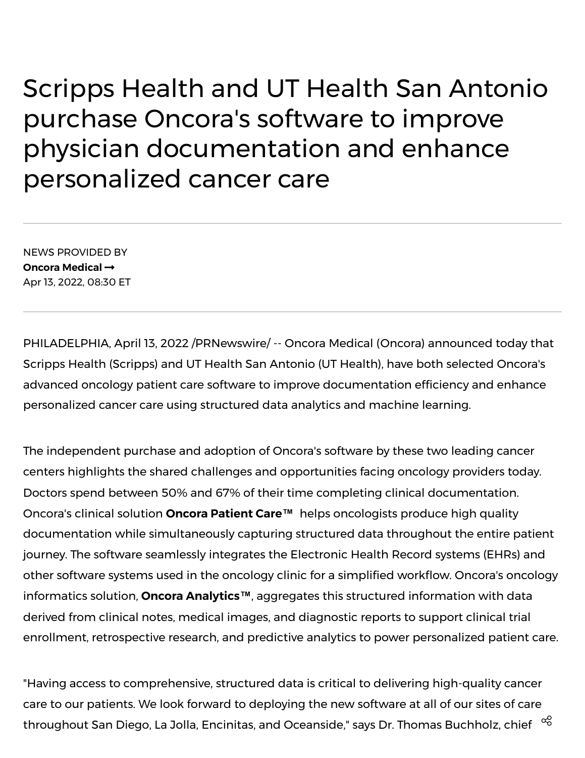## Scripps Health and UT Health San Antonio purchase Oncora's software to improve physician documentation and enhance personalized cancer care

NEWS PROVIDED BY **Oncora [Medical](https://www.prnewswire.com/news/oncora-medical/)** Apr 13, 2022, 08:30 ET

PHILADELPHIA, April 13, 2022 /PRNewswire/ -- Oncora Medical (Oncora) announced today that Scripps Health (Scripps) and UT Health San Antonio (UT Health), have both selected Oncora's advanced oncology patient care software to improve documentation efficiency and enhance personalized cancer care using structured data analytics and machine learning.

The independent purchase and adoption of Oncora's software by these two leading cancer centers highlights the shared challenges and opportunities facing oncology providers today. Doctors spend between 50% and 67% of their time completing clinical documentation. Oncora's clinical solution **Oncora Patient Care™** helps oncologists produce high quality documentation while simultaneously capturing structured data throughout the entire patient journey. The software seamlessly integrates the Electronic Health Record systems (EHRs) and other software systems used in the oncology clinic for a simplified workflow. Oncora's oncology informatics solution, **Oncora Analytics™**, aggregates this structured information with data derived from clinical notes, medical images, and diagnostic reports to support clinical trial enrollment, retrospective research, and predictive analytics to power personalized patient care.

"Having access to comprehensive, structured data is critical to delivering high-quality cancer care to our patients. We look forward to deploying the new software at all of our sites of care throughout San Diego, La Jolla, Encinitas, and Oceanside," says Dr. Thomas Buchholz, chief  $\ ^\infty$